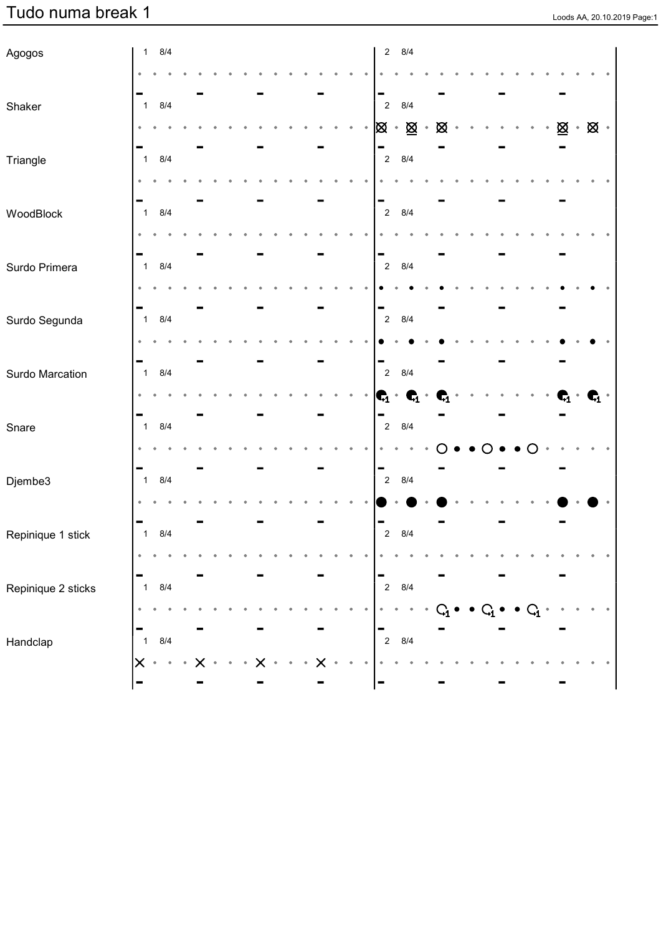## **Tudo numa break 1** Loods AA, 20.10.2019 Page:1

| Agogos             |                         | $1 \t 8/4$ |  |  |  |  |  |  |                                         | $2\quad 8/4$  |           |                                       |  |  |  |                                                 |                                 |  |
|--------------------|-------------------------|------------|--|--|--|--|--|--|-----------------------------------------|---------------|-----------|---------------------------------------|--|--|--|-------------------------------------------------|---------------------------------|--|
|                    |                         |            |  |  |  |  |  |  |                                         |               |           |                                       |  |  |  |                                                 |                                 |  |
|                    |                         |            |  |  |  |  |  |  | -                                       |               |           |                                       |  |  |  |                                                 |                                 |  |
| Shaker             | $\overline{1}$          | 8/4        |  |  |  |  |  |  | $\overline{2}$                          | 8/4           |           |                                       |  |  |  |                                                 |                                 |  |
|                    |                         |            |  |  |  |  |  |  | <u> </u> ⊠ ∗ <u>⊠</u>                   |               | $\bullet$ | $\boxtimes$                           |  |  |  | $\underline{\otimes}$ . $\underline{\otimes}$ . |                                 |  |
| Triangle           | $\overline{\mathbf{1}}$ | 8/4        |  |  |  |  |  |  | -                                       | $2 \quad 8/4$ |           |                                       |  |  |  |                                                 |                                 |  |
|                    |                         |            |  |  |  |  |  |  |                                         |               |           |                                       |  |  |  |                                                 |                                 |  |
|                    |                         |            |  |  |  |  |  |  | -                                       |               |           |                                       |  |  |  |                                                 |                                 |  |
| WoodBlock          | $\overline{\mathbf{1}}$ | 8/4        |  |  |  |  |  |  | $\overline{2}$                          | 8/4           |           |                                       |  |  |  |                                                 |                                 |  |
|                    |                         |            |  |  |  |  |  |  |                                         |               |           |                                       |  |  |  |                                                 |                                 |  |
| Surdo Primera      | $\overline{\mathbf{1}}$ | 8/4        |  |  |  |  |  |  | $\blacksquare$<br>$\overline{2}$        | 8/4           |           |                                       |  |  |  |                                                 |                                 |  |
|                    |                         |            |  |  |  |  |  |  |                                         |               |           |                                       |  |  |  |                                                 |                                 |  |
|                    | ۰                       |            |  |  |  |  |  |  | $\blacksquare$                          |               |           |                                       |  |  |  |                                                 |                                 |  |
| Surdo Segunda      | $\overline{\mathbf{1}}$ | 8/4        |  |  |  |  |  |  | $\overline{2}$                          | 8/4           |           |                                       |  |  |  |                                                 |                                 |  |
|                    |                         |            |  |  |  |  |  |  |                                         |               |           |                                       |  |  |  |                                                 |                                 |  |
|                    |                         |            |  |  |  |  |  |  | $\qquad \qquad \blacksquare$            |               |           |                                       |  |  |  |                                                 |                                 |  |
| Surdo Marcation    | $\overline{\mathbf{1}}$ | 8/4        |  |  |  |  |  |  | $\overline{2}$                          | 8/4           |           |                                       |  |  |  |                                                 |                                 |  |
|                    |                         |            |  |  |  |  |  |  | $\mathbf{C}_1 \cdot \mathbf{C}_1 \cdot$ |               |           | $\mathbf{r}_{\!\scriptscriptstyle 1}$ |  |  |  | C,                                              | $\bullet$ $\bullet_1$ $\bullet$ |  |
| Snare              | $\overline{\mathbf{1}}$ | 8/4        |  |  |  |  |  |  | -<br>$\overline{2}$                     | 8/4           |           |                                       |  |  |  |                                                 |                                 |  |
|                    |                         |            |  |  |  |  |  |  |                                         |               |           |                                       |  |  |  |                                                 |                                 |  |
|                    |                         |            |  |  |  |  |  |  | -                                       |               |           |                                       |  |  |  |                                                 |                                 |  |
| Djembe3            | $\overline{1}$          | 8/4        |  |  |  |  |  |  | $\overline{2}$                          | 8/4           |           |                                       |  |  |  |                                                 |                                 |  |
|                    |                         |            |  |  |  |  |  |  |                                         |               |           |                                       |  |  |  |                                                 |                                 |  |
| Repinique 1 stick  | $\overline{1}$          | 8/4        |  |  |  |  |  |  | -                                       | $2 \quad 8/4$ |           |                                       |  |  |  |                                                 |                                 |  |
|                    |                         |            |  |  |  |  |  |  |                                         |               |           |                                       |  |  |  |                                                 |                                 |  |
|                    | ۰                       |            |  |  |  |  |  |  | -                                       |               |           |                                       |  |  |  |                                                 |                                 |  |
| Repinique 2 sticks | $\overline{\mathbf{1}}$ | 8/4        |  |  |  |  |  |  | $\overline{2}$                          | 8/4           |           |                                       |  |  |  |                                                 |                                 |  |
|                    | ۰                       |            |  |  |  |  |  |  |                                         |               |           |                                       |  |  |  |                                                 |                                 |  |
|                    | ۰                       |            |  |  |  |  |  |  | $\blacksquare$                          |               |           |                                       |  |  |  |                                                 |                                 |  |
| Handclap           | $\mathbf{1}$            | 8/4        |  |  |  |  |  |  | $\overline{2}$                          | 8/4           |           |                                       |  |  |  |                                                 |                                 |  |
|                    | $\times$                | $\bullet$  |  |  |  |  |  |  |                                         |               |           |                                       |  |  |  |                                                 |                                 |  |
|                    |                         |            |  |  |  |  |  |  | $\blacksquare$                          |               |           |                                       |  |  |  |                                                 |                                 |  |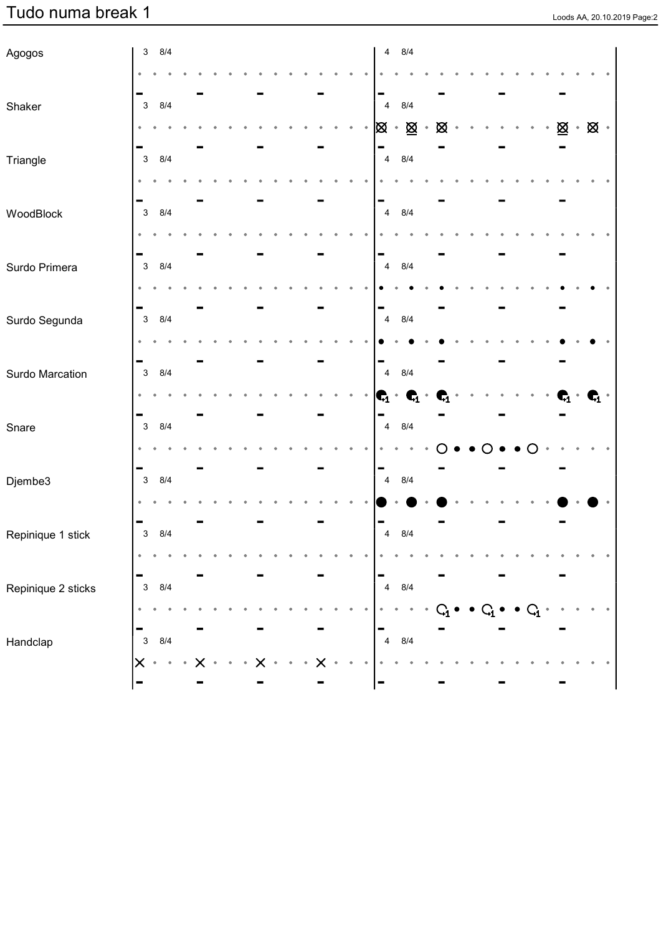## **Tudo numa break 1** Loods AA, 20.10.2019 Page:2

| Agogos             |                           | $3 \quad 8/4$ |  |  |  |  |  |  |                                  | $4 \quad 8/4$                           |                    |                |  |  |                  |                                                 |                                    |  |
|--------------------|---------------------------|---------------|--|--|--|--|--|--|----------------------------------|-----------------------------------------|--------------------|----------------|--|--|------------------|-------------------------------------------------|------------------------------------|--|
|                    |                           |               |  |  |  |  |  |  |                                  |                                         |                    |                |  |  |                  |                                                 |                                    |  |
|                    |                           |               |  |  |  |  |  |  | -                                |                                         |                    |                |  |  |                  |                                                 |                                    |  |
| Shaker             | $\mathbf{3}$              | 8/4           |  |  |  |  |  |  | $\overline{4}$                   | 8/4                                     |                    |                |  |  |                  |                                                 |                                    |  |
|                    |                           |               |  |  |  |  |  |  |                                  | <u> </u> ⊠ ∗ <u>⊠</u>                   | $\hat{\mathbf{0}}$ | $\boxtimes$    |  |  |                  | $\underline{\otimes}$ . $\underline{\otimes}$ . |                                    |  |
| Triangle           | $\mathbf{3}$              | 8/4           |  |  |  |  |  |  | -                                | 4 8/4                                   |                    |                |  |  |                  |                                                 |                                    |  |
|                    |                           |               |  |  |  |  |  |  |                                  |                                         |                    |                |  |  |                  |                                                 |                                    |  |
|                    |                           |               |  |  |  |  |  |  | -                                |                                         |                    |                |  |  |                  |                                                 |                                    |  |
| WoodBlock          | $\mathbf{3}$              | 8/4           |  |  |  |  |  |  |                                  | 4 8/4                                   |                    |                |  |  |                  |                                                 |                                    |  |
|                    |                           |               |  |  |  |  |  |  |                                  |                                         |                    |                |  |  |                  |                                                 |                                    |  |
| Surdo Primera      | $\mathbf{3}$              | 8/4           |  |  |  |  |  |  | $\blacksquare$<br>$\overline{4}$ | 8/4                                     |                    |                |  |  |                  |                                                 |                                    |  |
|                    |                           |               |  |  |  |  |  |  |                                  |                                         |                    |                |  |  |                  |                                                 |                                    |  |
|                    |                           |               |  |  |  |  |  |  | $\blacksquare$                   |                                         |                    |                |  |  |                  |                                                 |                                    |  |
| Surdo Segunda      | $\mathbf{3}$              | 8/4           |  |  |  |  |  |  | $\overline{4}$                   | 8/4                                     |                    |                |  |  |                  |                                                 |                                    |  |
|                    |                           |               |  |  |  |  |  |  |                                  |                                         |                    |                |  |  |                  |                                                 |                                    |  |
|                    |                           |               |  |  |  |  |  |  | -                                |                                         |                    |                |  |  |                  |                                                 |                                    |  |
| Surdo Marcation    | $\mathbf{3}$              | 8/4           |  |  |  |  |  |  | $\overline{\mathbf{4}}$          | 8/4                                     |                    |                |  |  |                  |                                                 |                                    |  |
|                    |                           |               |  |  |  |  |  |  |                                  | $\mathbf{C}_1 \cdot \mathbf{C}_1 \cdot$ |                    | $\mathbf{G}_1$ |  |  |                  | $\bullet$                                       | $\bullet$ $\textbf{C}_1$ $\bullet$ |  |
| Snare              | $\mathbf{3}$              | 8/4           |  |  |  |  |  |  | -<br>$\overline{\mathbf{4}}$     | 8/4                                     |                    |                |  |  |                  |                                                 |                                    |  |
|                    |                           |               |  |  |  |  |  |  |                                  |                                         |                    |                |  |  |                  |                                                 |                                    |  |
|                    |                           |               |  |  |  |  |  |  | -                                |                                         |                    |                |  |  |                  |                                                 |                                    |  |
| Djembe3            | $\mathbf{3}$              | 8/4           |  |  |  |  |  |  | $\overline{4}$                   | 8/4                                     |                    |                |  |  |                  |                                                 |                                    |  |
|                    |                           |               |  |  |  |  |  |  |                                  |                                         |                    |                |  |  |                  |                                                 |                                    |  |
| Repinique 1 stick  | $\mathbf{3}$              | 8/4           |  |  |  |  |  |  | $\overline{\mathbf{4}}$          | 8/4                                     |                    |                |  |  |                  |                                                 |                                    |  |
|                    |                           |               |  |  |  |  |  |  |                                  |                                         |                    |                |  |  |                  |                                                 |                                    |  |
|                    | ۰                         |               |  |  |  |  |  |  | ▬                                |                                         |                    |                |  |  |                  |                                                 |                                    |  |
| Repinique 2 sticks | $\mathbf{3}$              | 8/4           |  |  |  |  |  |  | $\overline{4}$                   | 8/4                                     |                    |                |  |  |                  |                                                 |                                    |  |
|                    | $\bullet$                 |               |  |  |  |  |  |  |                                  |                                         |                    |                |  |  | $\mathbf{Q_{i}}$ |                                                 |                                    |  |
|                    | ۰                         |               |  |  |  |  |  |  | -                                |                                         |                    |                |  |  |                  |                                                 |                                    |  |
| Handclap           | $\ensuremath{\mathsf{3}}$ | 8/4           |  |  |  |  |  |  | $\overline{4}$                   | 8/4                                     |                    |                |  |  |                  |                                                 |                                    |  |
|                    | $\times$                  | $\bullet$     |  |  |  |  |  |  |                                  |                                         |                    |                |  |  |                  |                                                 |                                    |  |
|                    | ۰                         |               |  |  |  |  |  |  | $\blacksquare$                   |                                         |                    |                |  |  |                  |                                                 |                                    |  |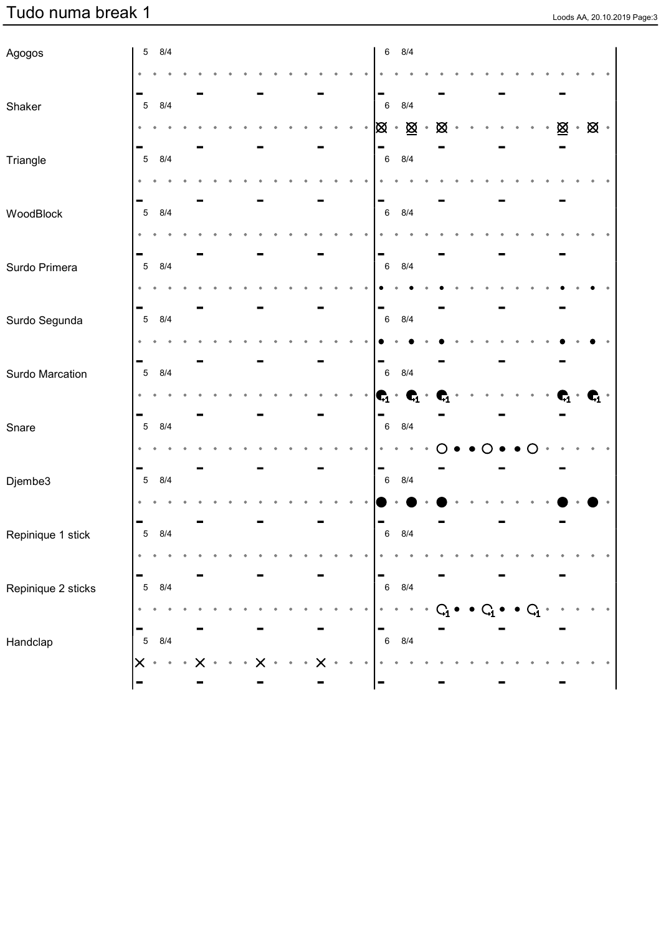## **Tudo numa break 1** Loods AA, 20.10.2019 Page:3

| Agogos             |                 | $5\quad 8/4$  |  |  |  |  |  |  |                                         | 6 8/4   |           |                |  |  |                |                                                 |                                 |  |
|--------------------|-----------------|---------------|--|--|--|--|--|--|-----------------------------------------|---------|-----------|----------------|--|--|----------------|-------------------------------------------------|---------------------------------|--|
|                    |                 |               |  |  |  |  |  |  |                                         |         |           |                |  |  |                |                                                 |                                 |  |
|                    |                 |               |  |  |  |  |  |  | -                                       |         |           |                |  |  |                |                                                 |                                 |  |
| Shaker             | $5\phantom{.0}$ | 8/4           |  |  |  |  |  |  | $\,6\,$                                 | 8/4     |           |                |  |  |                |                                                 |                                 |  |
|                    |                 |               |  |  |  |  |  |  | <u> </u> ⊠ ∗ <u>⊠</u>                   |         | $\bullet$ | $\boxtimes$    |  |  |                | $\underline{\otimes}$ . $\underline{\otimes}$ . |                                 |  |
| Triangle           | $\sqrt{5}$      | 8/4           |  |  |  |  |  |  | -<br>$\,6\,$                            | 8/4     |           |                |  |  |                |                                                 |                                 |  |
|                    |                 |               |  |  |  |  |  |  |                                         |         |           |                |  |  |                |                                                 |                                 |  |
|                    |                 |               |  |  |  |  |  |  | -                                       |         |           |                |  |  |                |                                                 |                                 |  |
| WoodBlock          | $\sqrt{5}$      | 8/4           |  |  |  |  |  |  | $\,6\,$                                 | 8/4     |           |                |  |  |                |                                                 |                                 |  |
|                    |                 |               |  |  |  |  |  |  |                                         |         |           |                |  |  |                |                                                 |                                 |  |
| Surdo Primera      | $\overline{5}$  | 8/4           |  |  |  |  |  |  | $\blacksquare$<br>$\,6\,$               | 8/4     |           |                |  |  |                |                                                 |                                 |  |
|                    |                 |               |  |  |  |  |  |  |                                         |         |           |                |  |  |                |                                                 |                                 |  |
|                    |                 |               |  |  |  |  |  |  | $\blacksquare$                          |         |           |                |  |  |                |                                                 |                                 |  |
| Surdo Segunda      | $\overline{5}$  | 8/4           |  |  |  |  |  |  | $\,6\,$                                 | 8/4     |           |                |  |  |                |                                                 |                                 |  |
|                    |                 |               |  |  |  |  |  |  |                                         |         |           |                |  |  |                |                                                 |                                 |  |
|                    |                 |               |  |  |  |  |  |  | -                                       |         |           |                |  |  |                |                                                 |                                 |  |
| Surdo Marcation    | $\overline{5}$  | 8/4           |  |  |  |  |  |  | $\,6\,$                                 | 8/4     |           |                |  |  |                |                                                 |                                 |  |
|                    |                 |               |  |  |  |  |  |  | $\mathbf{C}_1 \cdot \mathbf{C}_1 \cdot$ |         |           | $\mathbf{G}_1$ |  |  |                | q,                                              | $\bullet$ $\bullet_1$ $\bullet$ |  |
| Snare              | $\overline{5}$  | 8/4           |  |  |  |  |  |  | -<br>$\,6\,$                            | 8/4     |           |                |  |  |                |                                                 |                                 |  |
|                    |                 |               |  |  |  |  |  |  |                                         |         |           |                |  |  |                |                                                 |                                 |  |
|                    |                 |               |  |  |  |  |  |  | -                                       |         |           |                |  |  |                |                                                 |                                 |  |
| Djembe3            | $\sqrt{5}$      | 8/4           |  |  |  |  |  |  | $\,6\,$                                 | 8/4     |           |                |  |  |                |                                                 |                                 |  |
|                    |                 |               |  |  |  |  |  |  |                                         |         |           |                |  |  |                |                                                 |                                 |  |
|                    |                 | $5 \quad 8/4$ |  |  |  |  |  |  | ▀<br>$\,6\,$                            | 8/4     |           |                |  |  |                |                                                 |                                 |  |
| Repinique 1 stick  |                 |               |  |  |  |  |  |  |                                         |         |           |                |  |  |                |                                                 |                                 |  |
|                    |                 |               |  |  |  |  |  |  |                                         |         |           |                |  |  |                |                                                 |                                 |  |
| Repinique 2 sticks | ۰<br>$\sqrt{5}$ | 8/4           |  |  |  |  |  |  | -<br>$\,6\,$                            | $8/4\,$ |           |                |  |  |                |                                                 |                                 |  |
|                    | $\bullet$       |               |  |  |  |  |  |  |                                         |         |           |                |  |  | $\mathbf{C}_1$ |                                                 |                                 |  |
|                    | ۰               |               |  |  |  |  |  |  | -                                       |         |           |                |  |  |                |                                                 |                                 |  |
| Handclap           | $\mathbf 5$     | 8/4           |  |  |  |  |  |  | $\,6\,$                                 | 8/4     |           |                |  |  |                |                                                 |                                 |  |
|                    | $\times$        | $\bullet$     |  |  |  |  |  |  |                                         |         |           |                |  |  |                |                                                 |                                 |  |
|                    | ۰               |               |  |  |  |  |  |  | $\blacksquare$                          |         |           |                |  |  |                |                                                 |                                 |  |